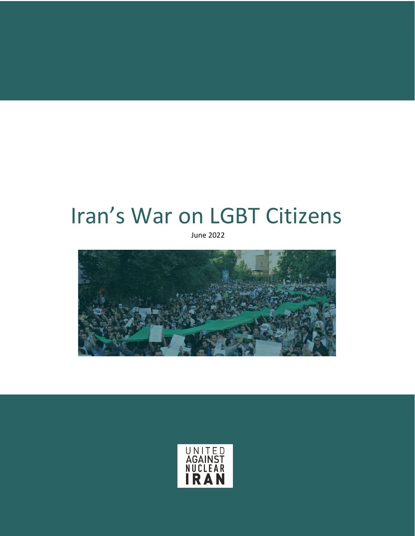# Iran's War on LGBT Citizens

June 2022



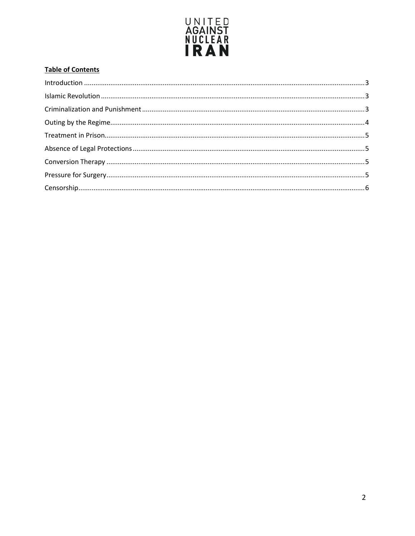

# **Table of Contents**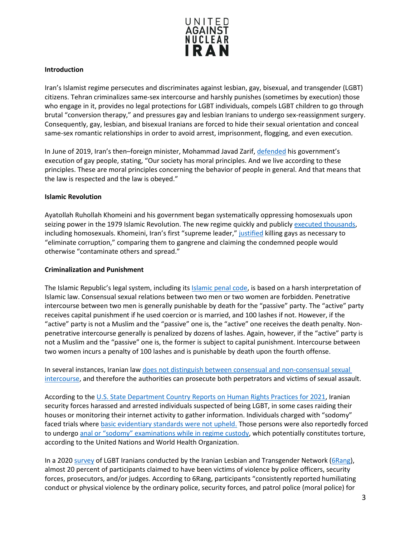

## <span id="page-2-0"></span>**Introduction**

Iran's Islamist regime persecutes and discriminates against lesbian, gay, bisexual, and transgender (LGBT) citizens. Tehran criminalizes same-sex intercourse and harshly punishes (sometimes by execution) those who engage in it, provides no legal protections for LGBT individuals, compels LGBT children to go through brutal "conversion therapy," and pressures gay and lesbian Iranians to undergo sex-reassignment surgery. Consequently, gay, lesbian, and bisexual Iranians are forced to hide their sexual orientation and conceal same-sex romantic relationships in order to avoid arrest, imprisonment, flogging, and even execution.

In June of 2019, Iran's then–foreign minister, Mohammad Javad Zarif, [defended](https://www.dw.com/en/iran-defends-execution-of-gay-people/a-49144899) his government's execution of gay people, stating, "Our society has moral principles. And we live according to these principles. These are moral principles concerning the behavior of people in general. And that means that the law is respected and the law is obeyed."

## <span id="page-2-1"></span>**Islamic Revolution**

Ayatollah Ruhollah Khomeini and his government began systematically oppressing homosexuals upon seizing power in the 1979 Islamic Revolution. The new regime quickly and publicly [executed thousands,](https://www.nytimes.com/1989/06/04/obituaries/ayatollah-ruhollah-khomeini-89-the-unwavering-iranian-spiritual-leader.html?pagewanted=all) including homosexuals. Khomeini, Iran's first "supreme leader,[" justified](https://www.nytimes.com/1979/10/07/archives/an-interview-with-khomeini.html) killing gays as necessary to "eliminate corruption," comparing them to gangrene and claiming the condemned people would otherwise "contaminate others and spread."

## <span id="page-2-2"></span>**Criminalization and Punishment**

The Islamic Republic's legal system, including it[s Islamic penal code,](https://iranhrdc.org/english-translation-of-books-i-ii-of-the-new-islamic-penal-code/#45) is based on a harsh interpretation of Islamic law. Consensual sexual relations between two men or two women are forbidden. Penetrative intercourse between two men is generally punishable by death for the "passive" party. The "active" party receives capital punishment if he used coercion or is married, and 100 lashes if not. However, if the "active" party is not a Muslim and the "passive" one is, the "active" one receives the death penalty. Nonpenetrative intercourse generally is penalized by dozens of lashes. Again, however, if the "active" party is not a Muslim and the "passive" one is, the former is subject to capital punishment. Intercourse between two women incurs a penalty of 100 lashes and is punishable by death upon the fourth offense.

In several instances, Iranian law [does not distinguish between consensual and non-consensual sexual](https://www.state.gov/reports/2020-country-reports-on-human-rights-practices/iran/)  [intercourse,](https://www.state.gov/reports/2020-country-reports-on-human-rights-practices/iran/) and therefore the authorities can prosecute both perpetrators and victims of sexual assault.

According to th[e U.S. State Department Country Reports on Human Rights Practices for 2021,](https://www.state.gov/reports/2021-country-reports-on-human-rights-practices/iran) Iranian security forces harassed and arrested individuals suspected of being LGBT, in some cases raiding their houses or monitoring their internet activity to gather information. Individuals charged with "sodomy" faced trials wher[e basic evidentiary standards were not upheld.](https://www.state.gov/reports/2021-country-reports-on-human-rights-practices/iran) Those persons were also reportedly forced to undergo anal or "sodomy" [examinations while in regime custody,](https://www.state.gov/reports/2021-country-reports-on-human-rights-practices/iran) which potentially constitutes torture, according to the United Nations and World Health Organization.

In a 202[0 survey](https://6rang.org/english/wp-content/uploads/2021/04/15-09-2020-Hidden-Wounds-English.pdf) of LGBT Iranians conducted by the Iranian Lesbian and Transgender Network [\(6Rang\)](https://6rang.org/english/), almost 20 percent of participants claimed to have been victims of violence by police officers, security forces, prosecutors, and/or judges. According to 6Rang, participants "consistently reported humiliating conduct or physical violence by the ordinary police, security forces, and patrol police (moral police) for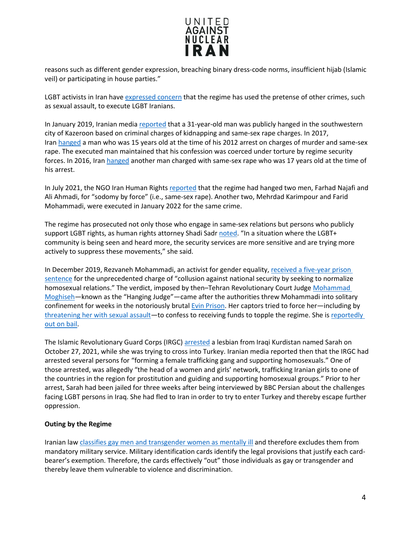

reasons such as different gender expression, breaching binary dress-code norms, insufficient hijab (Islamic veil) or participating in house parties."

LGBT activists in Iran hav[e expressed concern](https://www.state.gov/reports/2021-country-reports-on-human-rights-practices/iran) that the regime has used the pretense of other crimes, such as sexual assault, to execute LGBT Iranians.

In January 2019, Iranian medi[a reported](https://www.jpost.com/International/US-envoy-urges-allies-to-condemn-public-execution-of-homosexual-Iranian-579244) that a 31-year-old man was publicly hanged in the southwestern city of Kazeroon based on criminal charges of kidnapping and same-sex rape charges. In 2017, Iran [hanged](https://www.amnestyusa.org/press-releases/irans-shameful-execution-of-man-arrested-at-15/) a man who was 15 years old at the time of his 2012 arrest on charges of murder and same-sex rape. The executed man maintained that his confession was coerced under torture by regime security forces. In 2016, Ira[n hanged](https://www.amnesty.org/en/latest/news/2016/08/iran-hanging-of-teenager-shows-brazen-disregard-for-international-law/) another man charged with same-sex rape who was 17 years old at the time of his arrest.

In July 2021, the NGO Iran Human Rights [reported](https://iranwire.com/en/prisoners/71206) that the regime had hanged two men, Farhad Najafi and Ali Ahmadi, for "sodomy by force" (i.e., same-sex rape). Another two, Mehrdad Karimpour and Farid Mohammadi, were executed in January 2022 for the same crime.

The regime has prosecuted not only those who engage in same-sex relations but persons who publicly support LGBT rights, as human rights attorney Shadi Sadr [noted.](https://iranwire.com/en/iran/70940) "In a situation where the LGBT+ community is being seen and heard more, the security services are more sensitive and are trying more actively to suppress these movements," she said.

In December 2019, Rezvaneh Mohammadi, an activist for gender equality, [received a five-year prison](https://www.state.gov/reports/2019-country-reports-on-human-rights-practices/iran/)  [sentence](https://www.state.gov/reports/2019-country-reports-on-human-rights-practices/iran/) for the unprecedented charge of "collusion against national security by seeking to normalize homosexual relations." The verdict, imposed by then–Tehran Revolutionary Court Judge [Mohammad](https://www.unitedagainstnucleariran.com/index.php/mohammad-moghiseh-iranian-supreme-courts-new-hanging-judge)  [Moghiseh—](https://www.unitedagainstnucleariran.com/index.php/mohammad-moghiseh-iranian-supreme-courts-new-hanging-judge)known as the "Hanging Judge"—came after the authorities threw Mohammadi into solitary confinement for weeks in the notoriously bruta[l Evin Prison.](https://www.abc.net.au/news/2019-09-13/what-it-is-like-inside-iran-prison-evin/11506214) Her captors tried to force her—including by [threatening her with sexual assault—](https://www.state.gov/reports/2020-country-reports-on-human-rights-practices/iran/)to confess to receiving funds to topple the regime. She is reportedly [out on bail.](https://www.state.gov/reports/2021-country-reports-on-human-rights-practices/iran)

The Islamic Revolutionary Guard Corps (IRGC) [arrested](https://iranwire.com/en/iran/70940) a lesbian from Iraqi Kurdistan named Sarah on October 27, 2021, while she was trying to cross into Turkey. Iranian media reported then that the IRGC had arrested several persons for "forming a female trafficking gang and supporting homosexuals." One of those arrested, was allegedly "the head of a women and girls' network, trafficking Iranian girls to one of the countries in the region for prostitution and guiding and supporting homosexual groups." Prior to her arrest, Sarah had been jailed for three weeks after being interviewed by BBC Persian about the challenges facing LGBT persons in Iraq. She had fled to Iran in order to try to enter Turkey and thereby escape further oppression.

## <span id="page-3-0"></span>**Outing by the Regime**

Iranian law [classifies gay men and transgender women as mentally ill](https://www.state.gov/reports/2021-country-reports-on-human-rights-practices/iran) and therefore excludes them from mandatory military service. Military identification cards identify the legal provisions that justify each cardbearer's exemption. Therefore, the cards effectively "out" those individuals as gay or transgender and thereby leave them vulnerable to violence and discrimination.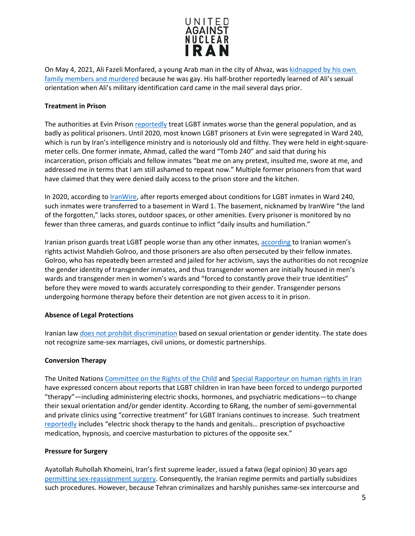

On May 4, 2021, Ali Fazeli Monfared, a young Arab man in the city of Ahvaz, was [kidnapped by his own](https://iranwire.com/en/features/69507)  [family members and murdered](https://iranwire.com/en/features/69507) because he was gay. His half-brother reportedly learned of Ali's sexual orientation when Ali's military identification card came in the mail several days prior.

## <span id="page-4-0"></span>**Treatment in Prison**

The authorities at Evin Prison [reportedly](https://iranwire.com/en/features/69698) treat LGBT inmates worse than the general population, and as badly as political prisoners. Until 2020, most known LGBT prisoners at Evin were segregated in Ward 240, which is run by Iran's intelligence ministry and is notoriously old and filthy. They were held in eight-squaremeter cells. One former inmate, Ahmad, called the ward "Tomb 240" and said that during his incarceration, prison officials and fellow inmates "beat me on any pretext, insulted me, swore at me, and addressed me in terms that I am still ashamed to repeat now." Multiple former prisoners from that ward have claimed that they were denied daily access to the prison store and the kitchen.

In 2020, according to *IranWire*, after reports emerged about conditions for LGBT inmates in Ward 240, such inmates were transferred to a basement in Ward 1. The basement, nicknamed by IranWire "the land of the forgotten," lacks stores, outdoor spaces, or other amenities. Every prisoner is monitored by no fewer than three cameras, and guards continue to inflict "daily insults and humiliation."

Iranian prison guards treat LGBT people worse than any other inmates, [according](https://iranwire.com/en/blogs/69722) to Iranian women's rights activist Mahdieh Golroo, and those prisoners are also often persecuted by their fellow inmates. Golroo, who has repeatedly been arrested and jailed for her activism, says the authorities do not recognize the gender identity of transgender inmates, and thus transgender women are initially housed in men's wards and transgender men in women's wards and "forced to constantly prove their true identities" before they were moved to wards accurately corresponding to their gender. Transgender persons undergoing hormone therapy before their detention are not given access to it in prison.

## <span id="page-4-1"></span>**Absence of Legal Protections**

Iranian law [does not prohibit discrimination](https://www.state.gov/reports/2021-country-reports-on-human-rights-practices/iran) based on sexual orientation or gender identity. The state does not recognize same-sex marriages, civil unions, or domestic partnerships.

## <span id="page-4-2"></span>**Conversion Therapy**

The United Nations [Committee on the Rights of the Child](https://docstore.ohchr.org/SelfServices/FilesHandler.ashx?enc=6QkG1d%2fPPRiCAqhKb7yhsoLV%2bKLJ6ZP5NvlpJ%2b3%2fKzWqgn8BQew%2fsP7yiJji8bpUhL1FTM9OFocxWl70Ezjf32ZgnmpgjWKYz1NQysmsNzcknUyyqXslAx8UTL6Wk5Qs) and [Special Rapporteur on human rights in Iran](https://documents-dds-ny.un.org/doc/UNDOC/GEN/G21/001/53/PDF/G2100153.pdf?OpenElement) have expressed concern about reports that LGBT children in Iran have been forced to undergo purported "therapy"—including administering electric shocks, hormones, and psychiatric medications—to change their sexual orientation and/or gender identity. According to 6Rang, the number of semi-governmental and private clinics using "corrective treatment" for LGBT Iranians continues to increase. Such treatment [reportedly](https://www.state.gov/reports/2020-country-reports-on-human-rights-practices/iran/) includes "electric shock therapy to the hands and genitals… prescription of psychoactive medication, hypnosis, and coercive masturbation to pictures of the opposite sex."

## <span id="page-4-3"></span>**Pressure for Surgery**

Ayatollah Ruhollah Khomeini, Iran's first supreme leader, issued a fatwa (legal opinion) 30 years ago [permitting sex-reassignment surgery.](https://apnews.com/a66b2167bb1744e6b12ba8ff1ef97c21) Consequently, the Iranian regime permits and partially subsidizes such procedures. However, because Tehran criminalizes and harshly punishes same-sex intercourse and